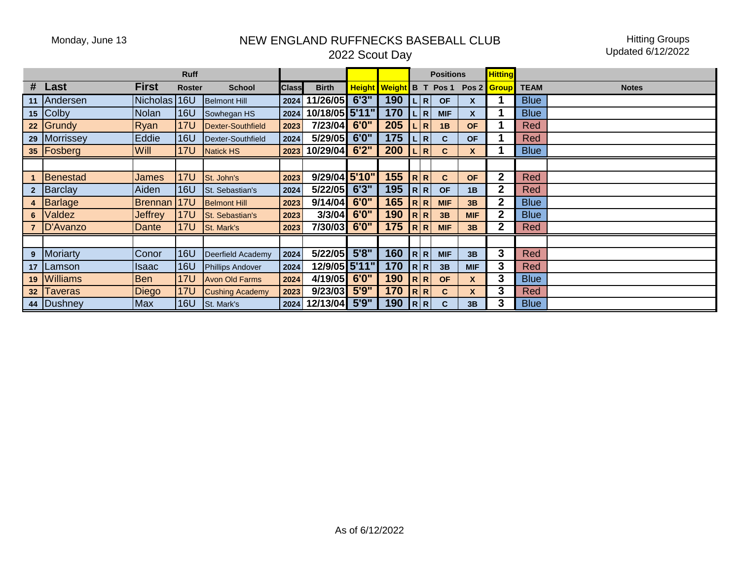## Monday, June 13 NEW ENGLAND RUFFNECKS BASEBALL CLUB 2022 Scout Day

Hitting Groups Updated 6/12/2022

|   |              |                 |               |                          |              | <b>Positions</b> |               |               | <b>Hitting</b> |                               |                  |              |             |              |
|---|--------------|-----------------|---------------|--------------------------|--------------|------------------|---------------|---------------|----------------|-------------------------------|------------------|--------------|-------------|--------------|
|   | # Last       | <b>First</b>    | <b>Roster</b> | <b>School</b>            | <b>Class</b> | <b>Birth</b>     | <b>Height</b> | <b>Weight</b> | B T            | Pos <sub>1</sub>              | Pos <sub>2</sub> | <b>Group</b> | <b>TEAM</b> | <b>Notes</b> |
|   | 11 Andersen  | <b>Nicholas</b> | 16U           | <b>Belmont Hill</b>      | 2024         | 11/26/05         | 6'3''         | 190           |                | R <br><b>OF</b>               | X                |              | <b>Blue</b> |              |
|   | $15$ Colby   | <b>Nolan</b>    | <b>16U</b>    | Sowhegan HS              | 2024         | 10/18/05 5'11"   |               | 170           |                | R <br><b>MIF</b>              | X                |              | <b>Blue</b> |              |
|   | $22$ Grundy  | Ryan            | <b>17U</b>    | <b>Dexter-Southfield</b> | 2023         | 7/23/04 6'0"     |               | 205           |                | $\overline{\mathsf{R}}$<br>1B | <b>OF</b>        |              | <b>Red</b>  |              |
|   | 29 Morrissey | Eddie           | <b>16U</b>    | Dexter-Southfield        | 2024         | 5/29/05          | 6'0''         | 175           |                | R <br>C                       | <b>OF</b>        |              | Red         |              |
|   | 35   Fosberg | Will            | <b>17U</b>    | <b>Natick HS</b>         | 2023         | 10/29/04         | 6'2''         | 200           | <b>LIR</b>     | C                             | X                |              | <b>Blue</b> |              |
|   |              |                 |               |                          |              |                  |               |               |                |                               |                  |              |             |              |
|   | Benestad     | <b>James</b>    | <b>17U</b>    | St. John's               | 2023         | 9/29/04 5'10"    |               | 155           | R R            | $\mathbf{C}$                  | <b>OF</b>        | $\mathbf 2$  | <b>Red</b>  |              |
|   | Barclay      | Aiden           | <b>16U</b>    | St. Sebastian's          | 2024         | 5/22/05          | 6'3''         | 195           | R R            | <b>OF</b>                     | 1B               | $\mathbf{2}$ | <b>Red</b>  |              |
|   | 4 Barlage    | Brennan         | <b>17U</b>    | <b>Belmont Hill</b>      | 2023         | 9/14/04          | 6'0''         | 165           | R R            | <b>MIF</b>                    | 3B               | $\mathbf 2$  | <b>Blue</b> |              |
| 6 | Valdez       | Jeffrey         | <b>17U</b>    | St. Sebastian's          | 2023         | 3/3/04           | 6'0''         | 190           | R R            | 3B                            | <b>MIF</b>       | $\mathbf 2$  | <b>Blue</b> |              |
|   | D'Avanzo     | Dante           | <b>17U</b>    | St. Mark's               | 2023         | 7/30/03          | 6'0''         | 175           | R R            | <b>MIF</b>                    | 3B               | $\mathbf 2$  | Red         |              |
|   |              |                 |               |                          |              |                  |               |               |                |                               |                  |              |             |              |
|   | 9 Moriarty   | Conor           | <b>16U</b>    | Deerfield Academy        | 2024         | 5/22/05 5'8"     |               | 160           | R R            | <b>MIF</b>                    | 3B               | 3            | <b>Red</b>  |              |
|   | 17 Lamson    | <b>Isaac</b>    | <b>16U</b>    | <b>Phillips Andover</b>  | 2024         | 12/9/05 5'11"    |               | 170           | R R            | 3B                            | <b>MIF</b>       | 3            | <b>Red</b>  |              |
|   | 19 Williams  | <b>Ben</b>      | <b>17U</b>    | <b>Avon Old Farms</b>    | 2024         | 4/19/05          | 6'0''         | 190           | R R            | <b>OF</b>                     | X                | 3            | <b>Blue</b> |              |
|   | 32 Taveras   | Diego           | <b>17U</b>    | <b>Cushing Academy</b>   | 2023         | 9/23/03          | 5'9''         | 170           | R R            | C                             | X                | 3            | Red         |              |
|   | 44 Dushney   | <b>Max</b>      | <b>16U</b>    | St. Mark's               | 2024         | 12/13/04         | 5'9''         | 190           | R R            | C                             | 3B               | 3            | <b>Blue</b> |              |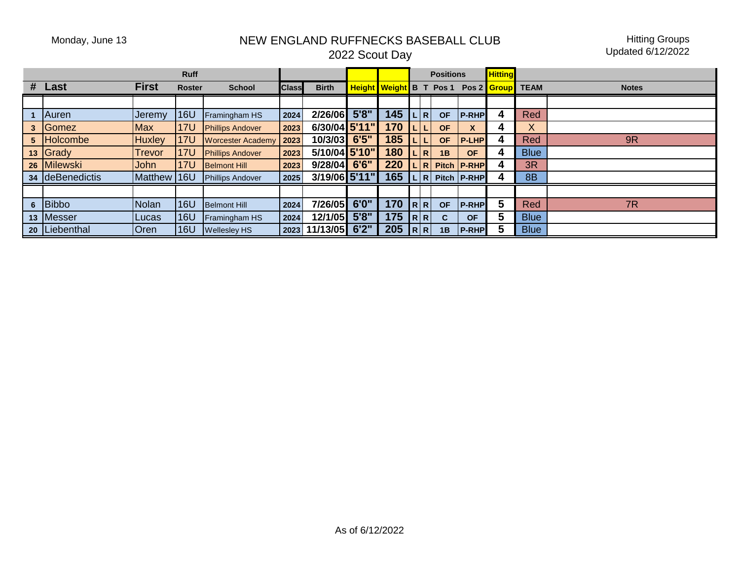## Monday, June 13 NEW ENGLAND RUFFNECKS BASEBALL CLUB

Hitting Groups Updated 6/12/2022

|  | 2022 Scout Day |  |
|--|----------------|--|
|--|----------------|--|

| <b>Ruff</b>     |                 |               |               |                          |              |               |       |                                | <b>Positions</b> |           |               | <b>Hitting</b> |             |              |
|-----------------|-----------------|---------------|---------------|--------------------------|--------------|---------------|-------|--------------------------------|------------------|-----------|---------------|----------------|-------------|--------------|
| #               | Last            | <b>First</b>  | <b>Roster</b> | <b>School</b>            | <b>Class</b> | <b>Birth</b>  |       | <b>Height Weight B T Pos 1</b> |                  |           |               | Pos 2   Group  | <b>TEAM</b> | <b>Notes</b> |
|                 |                 |               |               |                          |              |               |       |                                |                  |           |               |                |             |              |
|                 | Auren           | <b>Jeremy</b> | <b>16U</b>    | Framingham HS            | 2024         | 2/26/06       | 5'8'' | 145                            | . I R            | <b>OF</b> | <b>P-RHP</b>  |                | Red         |              |
| 3               | Gomez           | Max           | <b>17U</b>    | <b>Phillips Andover</b>  | 2023         | 6/30/04 5'11" |       | 170                            | . I L            | <b>OF</b> | X             |                | X.          |              |
| 5               | <b>Holcombe</b> | <b>Huxley</b> | <b>17U</b>    | <b>Worcester Academy</b> | 2023         | 10/3/03 6'5"  |       | 185                            | V L              | <b>OF</b> | <b>P-LHP</b>  |                | Red         | 9R           |
|                 | 13 Grady        | <b>Trevor</b> | 17U           | <b>Phillips Andover</b>  | 2023         | 5/10/04 5'10" |       | 180                            | L R              | 1B        | <b>OF</b>     |                | <b>Blue</b> |              |
| 26 <sub>1</sub> | <b>Milewski</b> | John          | <b>17U</b>    | <b>Belmont Hill</b>      | 2023         | 9/28/04       | 6'6'' | 220                            | .lR              |           | Pitch P-RHP   |                | 3R          |              |
|                 | 34 deBenedictis | Matthew 16U   |               | <b>Phillips Andover</b>  | 2025         | 3/19/06 5'11" |       | 165                            | . I R            |           | Pitch   P-RHP |                | 8B          |              |
|                 |                 |               |               |                          |              |               |       |                                |                  |           |               |                |             |              |
| 6               | Bibbo           | Nolan         | <b>16U</b>    | <b>Belmont Hill</b>      | 2024         | 7/26/05       | 6'0"  | 170                            | $R$ R            | <b>OF</b> | <b>P-RHP</b>  | 5              | Red         | 7R           |
|                 | 13 Messer       | Lucas         | <b>16U</b>    | Framingham HS            | 2024         | 12/1/05       | 5'8'' | 175                            | R R              | C         | <b>OF</b>     | 5              | <b>Blue</b> |              |
|                 | 20   Liebenthal | <b>Oren</b>   | <b>16U</b>    | <b>Wellesley HS</b>      | 2023         | 11/13/05      | 6'2'' | 205                            | R R              | 1B        | <b>P-RHP</b>  |                | <b>Blue</b> |              |